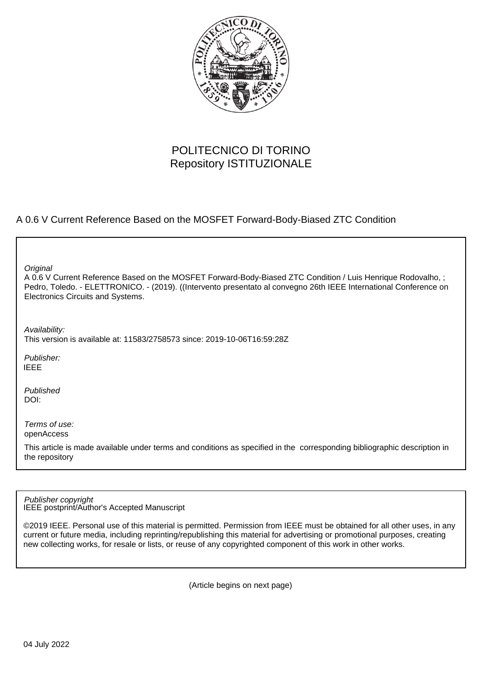

## POLITECNICO DI TORINO Repository ISTITUZIONALE

### A 0.6 V Current Reference Based on the MOSFET Forward-Body-Biased ZTC Condition

**Original** 

A 0.6 V Current Reference Based on the MOSFET Forward-Body-Biased ZTC Condition / Luis Henrique Rodovalho, ; Pedro, Toledo. - ELETTRONICO. - (2019). ((Intervento presentato al convegno 26th IEEE International Conference on Electronics Circuits and Systems.

Availability:

This version is available at: 11583/2758573 since: 2019-10-06T16:59:28Z

Publisher: IEEE

Published DOI:

Terms of use: openAccess

This article is made available under terms and conditions as specified in the corresponding bibliographic description in the repository

IEEE postprint/Author's Accepted Manuscript Publisher copyright

©2019 IEEE. Personal use of this material is permitted. Permission from IEEE must be obtained for all other uses, in any current or future media, including reprinting/republishing this material for advertising or promotional purposes, creating new collecting works, for resale or lists, or reuse of any copyrighted component of this work in other works.

(Article begins on next page)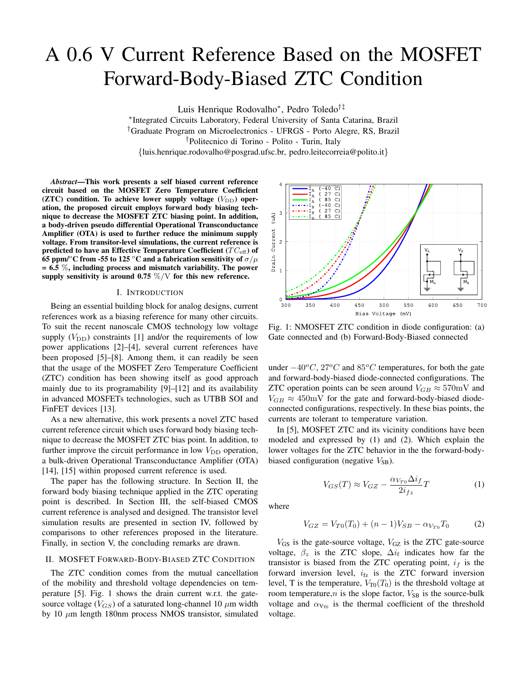# A 0.6 V Current Reference Based on the MOSFET Forward-Body-Biased ZTC Condition

Luis Henrique Rodovalho<sup>∗</sup> , Pedro Toledo†‡

∗ Integrated Circuits Laboratory, Federal University of Santa Catarina, Brazil †Graduate Program on Microelectronics - UFRGS - Porto Alegre, RS, Brazil †Politecnico di Torino - Polito - Turin, Italy {luis.henrique.rodovalho@posgrad.ufsc.br, pedro.leitecorreia@polito.it}

*Abstract*—This work presents a self biased current reference circuit based on the MOSFET Zero Temperature Coefficient ( $ZTC$ ) condition. To achieve lower supply voltage ( $V_{\text{DD}}$ ) operation, the proposed circuit employs forward body biasing technique to decrease the MOSFET ZTC biasing point. In addition, a body-driven pseudo differential Operational Transconductance Amplifier (OTA) is used to further reduce the minimum supply voltage. From transitor-level simulations, the current reference is predicted to have an Effective Temperature Coefficient  $(T C_{\text{eff}})$  of 65 ppm/<sup>o</sup>C from -55 to 125 <sup>o</sup>C and a fabrication sensitivity of  $\sigma/\mu$  $= 6.5 \%$ , including process and mismatch variability. The power supply sensitivity is around 0.75  $\%/V$  for this new reference.

#### I. INTRODUCTION

Being an essential building block for analog designs, current references work as a biasing reference for many other circuits. To suit the recent nanoscale CMOS technology low voltage supply  $(V_{DD})$  constraints [1] and/or the requirements of low power applications [2]–[4], several current references have been proposed [5]–[8]. Among them, it can readily be seen that the usage of the MOSFET Zero Temperature Coefficient (ZTC) condition has been showing itself as good approach mainly due to its programability [9]–[12] and its availability in advanced MOSFETs technologies, such as UTBB SOI and FinFET devices [13].

As a new alternative, this work presents a novel ZTC based current reference circuit which uses forward body biasing technique to decrease the MOSFET ZTC bias point. In addition, to further improve the circuit performance in low  $V_{\text{DD}}$  operation, a bulk-driven Operational Transconductance Amplifier (OTA) [14], [15] within proposed current reference is used.

The paper has the following structure. In Section II, the forward body biasing technique applied in the ZTC operating point is described. In Section III, the self-biased CMOS current reference is analysed and designed. The transistor level simulation results are presented in section IV, followed by comparisons to other references proposed in the literature. Finally, in section V, the concluding remarks are drawn.

#### II. MOSFET FORWARD-BODY-BIASED ZTC CONDITION

The ZTC condition comes from the mutual cancellation of the mobility and threshold voltage dependencies on temperature [5]. Fig. 1 shows the drain current w.r.t. the gatesource voltage ( $V_{GS}$ ) of a saturated long-channel 10  $\mu$ m width by 10  $\mu$ m length 180nm process NMOS transistor, simulated



Fig. 1: NMOSFET ZTC condition in diode configuration: (a) Gate connected and (b) Forward-Body-Biased connected

under  $-40\degree C$ , 27°C and 85°C temperatures, for both the gate and forward-body-biased diode-connected configurations. The ZTC operation points can be seen around  $V_{GB} \approx 570 \text{mV}$  and  $V_{GB} \approx 450$  mV for the gate and forward-body-biased diodeconnected configurations, respectively. In these bias points, the currents are tolerant to temperature variation.

In [5], MOSFET ZTC and its vicinity conditions have been modeled and expressed by (1) and (2). Which explain the lower voltages for the ZTC behavior in the the forward-bodybiased configuration (negative  $V_{SB}$ ).

$$
V_{GS}(T) \approx V_{GZ} - \frac{\alpha_{V_{T0}} \Delta i_f}{2i_{fz}}T\tag{1}
$$

where

$$
V_{GZ} = V_{T0}(T_0) + (n-1)V_{SB} - \alpha_{V_{T0}}T_0 \tag{2}
$$

 $V_{GS}$  is the gate-source voltage,  $V_{GZ}$  is the ZTC gate-source voltage,  $\beta_z$  is the ZTC slope,  $\Delta i_f$  indicates how far the transistor is biased from the ZTC operating point,  $i_f$  is the forward inversion level,  $i_{\text{fz}}$  is the ZTC forward inversion level, T is the temperature,  $V_{T0}(T_0)$  is the threshold voltage at room temperature, $n$  is the slope factor,  $V_{SB}$  is the source-bulk voltage and  $\alpha_{V_{\text{TO}}}$  is the thermal coefficient of the threshold voltage.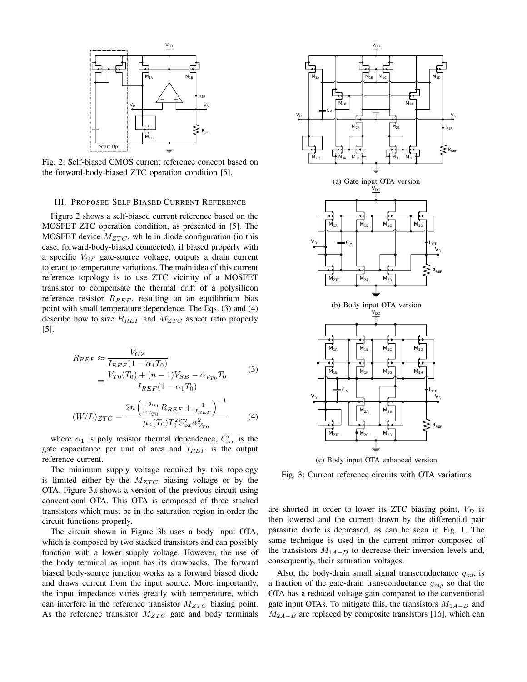

Fig. 2: Self-biased CMOS current reference concept based on the forward-body-biased ZTC operation condition [5].

#### III. PROPOSED SELF BIASED CURRENT REFERENCE

Figure 2 shows a self-biased current reference based on the MOSFET ZTC operation condition, as presented in [5]. The MOSFET device  $M_{ZTC}$ , while in diode configuration (in this case, forward-body-biased connected), if biased properly with a specific  $V_{GS}$  gate-source voltage, outputs a drain current tolerant to temperature variations. The main idea of this current reference topology is to use ZTC vicinity of a MOSFET transistor to compensate the thermal drift of a polysilicon reference resistor  $R_{REF}$ , resulting on an equilibrium bias point with small temperature dependence. The Eqs. (3) and (4) describe how to size  $R_{REF}$  and  $M_{ZTC}$  aspect ratio properly [5].

$$
R_{REF} \approx \frac{V_{GZ}}{I_{REF}(1 - \alpha_1 T_0)}
$$
  
= 
$$
\frac{V_{TO}(T_0) + (n - 1)V_{SB} - \alpha_{V_{TO}}T_0}{I_{REF}(1 - \alpha_1 T_0)}
$$
(3)

$$
(W/L)_{ZTC} = \frac{2n\left(\frac{-2\alpha_1}{\alpha_{V_{T0}}}R_{REF} + \frac{1}{I_{REF}}\right)^{-1}}{\mu_n(T_0)T_0^2C'_{ox}\alpha_{V_{T0}}^2}
$$
(4)

where  $\alpha_1$  is poly resistor thermal dependence,  $C'_{ox}$  is the gate capacitance per unit of area and  $I_{REF}$  is the output reference current.

The minimum supply voltage required by this topology is limited either by the  $M_{ZTC}$  biasing voltage or by the OTA. Figure 3a shows a version of the previous circuit using conventional OTA. This OTA is composed of three stacked transistors which must be in the saturation region in order the circuit functions properly.

The circuit shown in Figure 3b uses a body input OTA, which is composed by two stacked transistors and can possibly function with a lower supply voltage. However, the use of the body terminal as input has its drawbacks. The forward biased body-source junction works as a forward biased diode and draws current from the input source. More importantly, the input impedance varies greatly with temperature, which can interfere in the reference transistor  $M_{ZTC}$  biasing point. As the reference transistor  $M_{ZTC}$  gate and body terminals



(c) Body input OTA enhanced version

Fig. 3: Current reference circuits with OTA variations

are shorted in order to lower its ZTC biasing point,  $V_D$  is then lowered and the current drawn by the differential pair parasitic diode is decreased, as can be seen in Fig. 1. The same technique is used in the current mirror composed of the transistors  $M_{1A-D}$  to decrease their inversion levels and, consequently, their saturation voltages.

Also, the body-drain small signal transconductance  $g_{mb}$  is a fraction of the gate-drain transconductance  $q_{ma}$  so that the OTA has a reduced voltage gain compared to the conventional gate input OTAs. To mitigate this, the transistors  $M_{1A-D}$  and  $M_{2A-B}$  are replaced by composite transistors [16], which can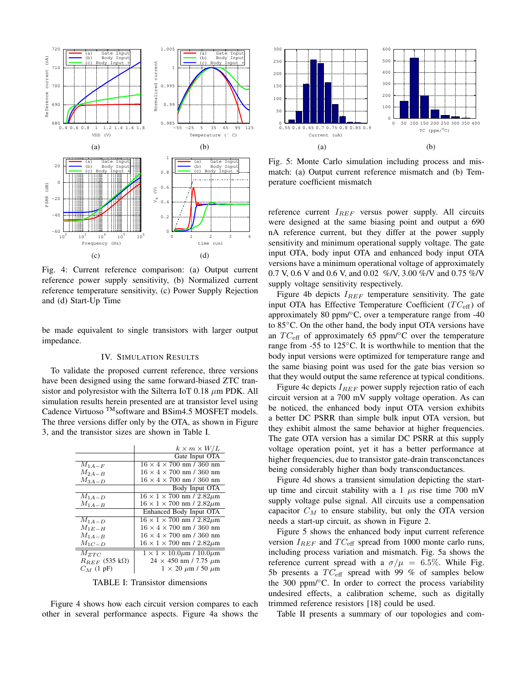

Fig. 4: Current reference comparison: (a) Output current reference power supply sensitivity, (b) Normalized current reference temperature sensitivity, (c) Power Supply Rejection and (d) Start-Up Time

be made equivalent to single transistors with larger output impedance.

#### IV. SIMULATION RESULTS

To validate the proposed current reference, three versions have been designed using the same forward-biased ZTC transistor and polyresistor with the Silterra IoT 0.18  $\mu$ m PDK. All simulation results herein presented are at transistor level using Cadence Virtuoso<sup>TM</sup>software and BSim4.5 MOSFET models. The three versions differ only by the OTA, as shown in Figure 3, and the transistor sizes are shown in Table I.

|                      | $k \times m \times W/L$                     |
|----------------------|---------------------------------------------|
|                      | Gate Input OTA                              |
| $M_{1A-F}$           | $16 \times 4 \times 700$ nm / 360 nm        |
| $M_{2A-B}$           | $16 \times 4 \times 700$ nm / 360 nm        |
| $M_{3A-D}$           | $16 \times 4 \times 700$ nm / 360 nm        |
|                      | Body Input OTA                              |
| $M_{1A-D}$           | $16 \times 1 \times 700$ nm / $2.82 \mu m$  |
| $M_{1A-B}$           | $16 \times 1 \times 700$ nm / $2.82 \mu$ m  |
|                      | Enhanced Body Input OTA                     |
| $M_{1A-D}$           | $16 \times 1 \times 700$ nm / $2.82 \mu m$  |
| $M_{1E-H}$           | $16 \times 4 \times 700$ nm / 360 nm        |
| $M_{1A-B}$           | $16 \times 4 \times 700$ nm / 360 nm        |
| $M_{1C-D}$           | $16 \times 1 \times 700$ nm / $2.82 \mu$ m  |
| $\overline{M}_{ZTC}$ | $1 \times 1 \times 10.0 \mu m / 10.0 \mu m$ |
| $R_{REF}$ (535 kΩ)   | $24 \times 450$ nm / 7.75 $\mu$ m           |
| $C_M$ (1 pF)         | $1 \times 20 \ \mu m$ / 50 $\mu m$          |

TABLE I: Transistor dimensions

Figure 4 shows how each circuit version compares to each other in several performance aspects. Figure 4a shows the



Fig. 5: Monte Carlo simulation including process and mismatch: (a) Output current reference mismatch and (b) Temperature coefficient mismatch

reference current  $I_{REF}$  versus power supply. All circuits were designed at the same biasing point and output a 690 nA reference current, but they differ at the power supply sensitivity and minimum operational supply voltage. The gate input OTA, body input OTA and enhanced body input OTA versions have a minimum operational voltage of approximately 0.7 V, 0.6 V and 0.6 V, and 0.02 %/V, 3.00 %/V and 0.75 %/V supply voltage sensitivity respectively.

Figure 4b depicts  $I_{REF}$  temperature sensitivity. The gate input OTA has Effective Temperature Coefficient  $(T C_{\text{eff}})$  of approximately 80 ppm/ $\degree$ C, over a temperature range from -40 to 85◦C. On the other hand, the body input OTA versions have an  $TC_{\text{eff}}$  of approximately 65 ppm/ $\textdegree$ C over the temperature range from -55 to 125◦C. It is worthwhile to mention that the body input versions were optimized for temperature range and the same biasing point was used for the gate bias version so that they would output the same reference at typical conditions.

Figure 4c depicts  $I_{REF}$  power supply rejection ratio of each circuit version at a 700 mV supply voltage operation. As can be noticed, the enhanced body input OTA version exhibits a better DC PSRR than simple bulk input OTA version, but they exhibit almost the same behavior at higher frequencies. The gate OTA version has a similar DC PSRR at this supply voltage operation point, yet it has a better performance at higher frequencies, due to transistor gate-drain transconctances being considerably higher than body transconductances.

Figure 4d shows a transient simulation depicting the startup time and circuit stability with a 1  $\mu$ s rise time 700 mV supply voltage pulse signal. All circuits use a compensation capacitor  $C_M$  to ensure stability, but only the OTA version needs a start-up circuit, as shown in Figure 2.

Figure 5 shows the enhanced body input current reference version  $I_{REF}$  and  $TC_{\text{eff}}$  spread from 1000 monte carlo runs, including process variation and mismatch. Fig. 5a shows the reference current spread with a  $\sigma/\mu = 6.5\%$ . While Fig. 5b presents a  $TC_{\text{eff}}$  spread with 99 % of samples below the 300 ppm/◦C. In order to correct the process variability undesired effects, a calibration scheme, such as digitally trimmed reference resistors [18] could be used.

Table II presents a summary of our topologies and com-